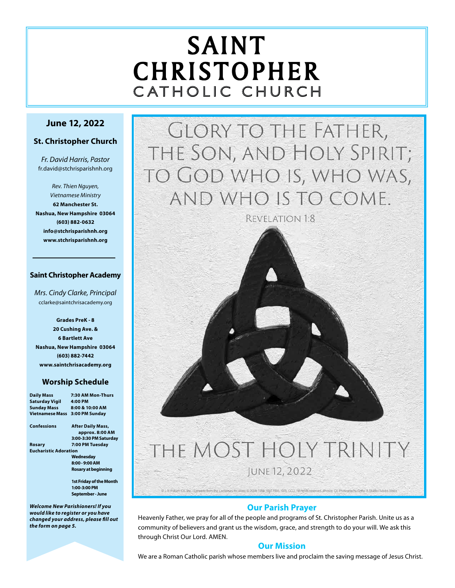# SAINT CHRISTOPHER C ATHOLIC CHURCH

# **June 12, 2022**

### **St. Christopher Church**

*Fr. David Harris, Pastor* fr.david@stchrisparishnh.org

*Rev. Thien Nguyen, Vietnamese Ministry* **62 Manchester St. Nashua, New Hampshire 03064 (603) 882-0632 info@stchrisparishnh.org www.stchrisparishnh.org**

#### **Saint Christopher Academy**

*Mrs. Cindy Clarke, Principal* cclarke@saintchrisacademy.org

**Grades PreK - 8 20 Cushing Ave. & 6 Bartlett Ave Nashua, New Hampshire 03064 (603) 882-7442 www.saintchrisacademy.org**

#### **Worship Schedule**

| Daily Mass                   | 7:30 AM Mon-Thurs        |
|------------------------------|--------------------------|
| <b>Saturday Vigil</b>        | 4:00 PM                  |
| <b>Sunday Mass</b>           | 8:00 & 10:00 AM          |
| Vietnamese Mass              | 3:00 PM Sunday           |
| Confessions                  | <b>After Daily Mass,</b> |
|                              | approx. 8:00 AM          |
|                              | 3:00-3:30 PM Saturday    |
| Rosary                       | 7:00 PM Tuesday          |
| <b>Eucharistic Adoration</b> |                          |
|                              | Wednesday                |
|                              | 8:00 - 9:00 AM           |
|                              | Rosary at beginning      |
|                              | 1st Friday of the Month  |
|                              | 1:00-3:00 PM             |
|                              | September - June         |
|                              |                          |

*Welcome New Parishioners! If you would like to register or you have changed your address, please fill out the form on page 5.*

**GLORY TO THE FATHER,** THE SON, AND HOLY SPIRIT; TO GOD WHO IS, WHO WAS, AND WHO IS TO COME.

REVELATION 1:8

# THE MOST HOLY TRINITY JUNE 12, 2022

**Our Parish Prayer**

0 J. S. Patien Co. Inc. - Distert from the Lectionary for Mass = 2008, 1998, 1998, 1999, OCD, All rights reserved. Photos: CE Photography/Scho A Studio/Adobe Stock

Heavenly Father, we pray for all of the people and programs of St. Christopher Parish. Unite us as a community of believers and grant us the wisdom, grace, and strength to do your will. We ask this through Christ Our Lord. AMEN.

# **Our Mission**

We are a Roman Catholic parish whose members live and proclaim the saving message of Jesus Christ.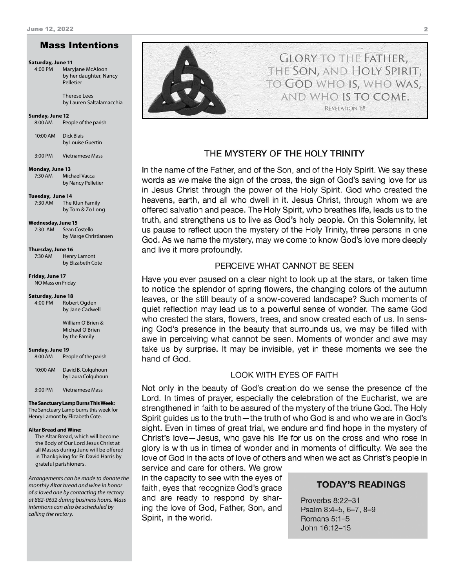#### Mass Intentions

#### **Saturday, June 11**

4:00 PM Maryjane McAloon by her daughter, Nancy Pelletier

> Therese Lees by Lauren Saltalamacchia

#### **Sunday, June 12**

8:00 AM People of the parish

10:00 AM Dick Blais by Louise Guertin

3:00 PM Vietnamese Mass

#### **Monday, June 13**

7:30 AM Michael Vacca by Nancy Pelletier

**Tuesday, June 14**

7:30 AM The Klun Family by Tom & Zo Long

#### **Wednesday, June 15**

7:30 AM Sean Costello by Marge Christiansen

**Thursday, June 16** 7:30 AM Henry Lamont by Elizabeth Cote

**Friday, June 17** NO Mass on Friday

#### **Saturday, June 18**

4:00 PM Robert Ogden by Jane Cadwell

> William O'Brien & Michael O'Brien by the Family

#### **Sunday, June 19**

8:00 AM People of the parish

10:00 AM David B. Colquhoun by Laura Colquhoun

3:00 PM Vietnamese Mass

**The Sanctuary Lamp Burns This Week:** The Sanctuary Lamp burns this week for Henry Lamont by Elizabeth Cote.

#### **Altar Bread and Wine:**

The Altar Bread, which will become the Body of Our Lord Jesus Christ at all Masses during June will be offered in Thankgiving for Fr. David Harris by grateful parishioners.

*Arrangements can be made to donate the monthly Altar bread and wine in honor of a loved one by contacting the rectory at 882-0632 during business hours. Mass intentions can also be scheduled by calling the rectory.* 



#### THE MYSTERY OF THE HOLY TRINITY

In the name of the Father, and of the Son, and of the Holy Spirit. We say these words as we make the sign of the cross, the sign of God's saving love for us in Jesus Christ through the power of the Holy Spirit. God who created the heavens, earth, and all who dwell in it. Jesus Christ, through whom we are offered salvation and peace. The Holy Spirit, who breathes life, leads us to the truth, and strengthens us to live as God's holy people. On this Solemnity, let us pause to reflect upon the mystery of the Holy Trinity, three persons in one God. As we name the mystery, may we come to know God's love more deeply and live it more profoundly.

#### PERCEIVE WHAT CANNOT BE SEEN

Have you ever paused on a clear night to look up at the stars, or taken time to notice the splendor of spring flowers, the changing colors of the autumn leaves, or the still beauty of a snow-covered landscape? Such moments of quiet reflection may lead us to a powerful sense of wonder. The same God who created the stars, flowers, trees, and snow created each of us. In sensing God's presence in the beauty that surrounds us, we may be filled with awe in perceiving what cannot be seen. Moments of wonder and awe may take us by surprise. It may be invisible, yet in these moments we see the hand of God.

#### **LOOK WITH EYES OF FAITH**

Not only in the beauty of God's creation do we sense the presence of the Lord. In times of prayer, especially the celebration of the Eucharist, we are strengthened in faith to be assured of the mystery of the triune God. The Holy Spirit guides us to the truth—the truth of who God is and who we are in God's sight. Even in times of great trial, we endure and find hope in the mystery of Christ's love-Jesus, who gave his life for us on the cross and who rose in glory is with us in times of wonder and in moments of difficulty. We see the love of God in the acts of love of others and when we act as Christ's people in

service and care for others. We grow in the capacity to see with the eyes of faith, eyes that recognize God's grace and are ready to respond by sharing the love of God, Father, Son, and Spirit, in the world.

#### **TODAY'S READINGS**

Proverbs 8:22-31 Psalm 8:4-5, 6-7, 8-9 Romans 5:1-5 John 16:12-15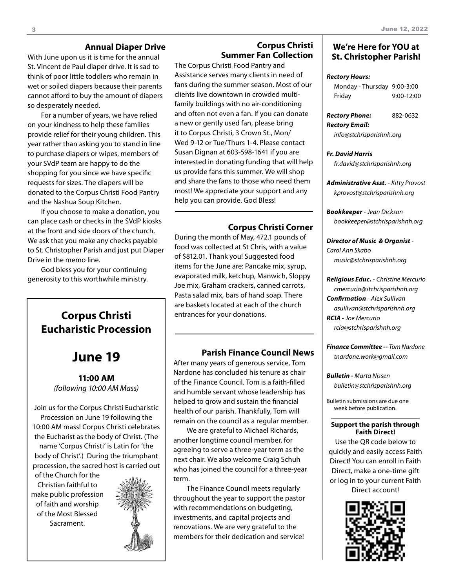## **Annual Diaper Drive**

With June upon us it is time for the annual St. Vincent de Paul diaper drive. It is sad to think of poor little toddlers who remain in wet or soiled diapers because their parents cannot afford to buy the amount of diapers so desperately needed.

For a number of years, we have relied on your kindness to help these families provide relief for their young children. This year rather than asking you to stand in line to purchase diapers or wipes, members of your SVdP team are happy to do the shopping for you since we have specific requests for sizes. The diapers will be donated to the Corpus Christi Food Pantry and the Nashua Soup Kitchen.

If you choose to make a donation, you can place cash or checks in the SVdP kiosks at the front and side doors of the church. We ask that you make any checks payable to St. Christopher Parish and just put Diaper Drive in the memo line.

God bless you for your continuing generosity to this worthwhile ministry.

# **Corpus Christi** | entrances for your donations. **Eucharistic Procession**

# **June 19**

**11:00 AM** *(following 10:00 AM Mass)*

Join us for the Corpus Christi Eucharistic Procession on June 19 following the 10:00 AM mass! Corpus Christi celebrates the Eucharist as the body of Christ. (The name 'Corpus Christi' is Latin for 'the body of Christ'.) During the triumphant procession, the sacred host is carried out

of the Church for the Christian faithful to make public profession of faith and worship of the Most Blessed Sacrament.



# **Corpus Christi Summer Fan Collection**

The Corpus Christi Food Pantry and Assistance serves many clients in need of fans during the summer season. Most of our clients live downtown in crowded multifamily buildings with no air-conditioning and often not even a fan. If you can donate a new or gently used fan, please bring it to Corpus Christi, 3 Crown St., Mon/ Wed 9-12 or Tue/Thurs 1-4. Please contact Susan Dignan at 603-598-1641 if you are interested in donating funding that will help us provide fans this summer. We will shop and share the fans to those who need them most! We appreciate your support and any help you can provide. God Bless!

# **Corpus Christi Corner**

During the month of May, 472.1 pounds of food was collected at St Chris, with a value of \$812.01. Thank you! Suggested food items for the June are: Pancake mix, syrup, evaporated milk, ketchup, Manwich, Sloppy Joe mix, Graham crackers, canned carrots, Pasta salad mix, bars of hand soap. There are baskets located at each of the church

### **Parish Finance Council News**

After many years of generous service, Tom Nardone has concluded his tenure as chair of the Finance Council. Tom is a faith-filled and humble servant whose leadership has helped to grow and sustain the financial health of our parish. Thankfully, Tom will remain on the council as a regular member.

We are grateful to Michael Richards, another longtime council member, for agreeing to serve a three-year term as the next chair. We also welcome Craig Schuh who has joined the council for a three-year term.

The Finance Council meets regularly throughout the year to support the pastor with recommendations on budgeting, investments, and capital projects and renovations. We are very grateful to the members for their dedication and service!

#### **We're Here for YOU at St. Christopher Parish!**

#### *Rectory Hours:*

| Monday - Thursday 9:00-3:00 |              |
|-----------------------------|--------------|
| Friday                      | $9:00-12:00$ |

| Rectory Phone: | 882-0632 |
|----------------|----------|
| Rectory Email: |          |

*info@stchrisparishnh.org*

#### *Fr. David Harris fr.david@stchrisparishnh.org*

*Administrative Asst.* - *Kitty Provost*

*kprovost@stchrisparishnh.org*

*Bookkeeper* - *Jean Dickson bookkeeper@stchrisparishnh.org*

#### *Director of Music & Organist* - *Carol Ann Skabo*

*music@stchrisparishnh.org*

#### *Religious Educ.* - *Christine Mercurio*

*cmercurio@stchrisparishnh.org Confirmation* - *Alex Sullivan asullivan@stchrisparishnh.org RCIA* - *Joe Mercurio rcia@stchrisparishnh.org*

*Finance Committee -- Tom Nardone tnardone.work@gmail.com*

*Bulletin - Marta Nissen bulletin@stchrisparishnh.org*

Bulletin submissions are due one week before publication.

#### **Support the parish through Faith Direct!**

Use the QR code below to quickly and easily access Faith Direct! You can enroll in Faith Direct, make a one-time gift or log in to your current Faith

Direct account!

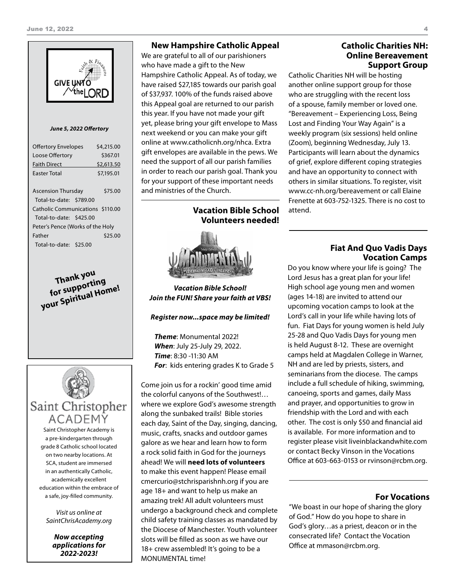

#### *June 5, 2022 Offertory*

| <b>Offertory Envelopes</b>       | \$4,215.00 |  |
|----------------------------------|------------|--|
| Loose Offertory                  | \$367.01   |  |
| <b>Faith Direct</b>              | \$2,613.50 |  |
| <b>Faster Total</b>              | \$7,195.01 |  |
|                                  |            |  |
| <b>Ascension Thursday</b>        | \$75.00    |  |
| Total-to-date: \$789.00          |            |  |
| Catholic Communications \$110,00 |            |  |
| Total-to-date: \$425.00          |            |  |
| Peter's Pence (Works of the Holy |            |  |
| Father                           | \$25.00    |  |
| Total-to-date: \$25.00           |            |  |

**Thank you**<br>for supporting **for supporting your Spiritual Home!**



Saint Christopher Academy is a pre-kindergarten through grade 8 Catholic school located on two nearby locations. At SCA, student are immersed in an authentically Catholic, academically excellent education within the embrace of a safe, joy-filled community.

*Visit us online at SaintChrisAcademy.org*

> *Now accepting applications for 2022-2023!*

#### **New Hampshire Catholic Appeal**

We are grateful to all of our parishioners who have made a gift to the New Hampshire Catholic Appeal. As of today, we have raised \$27,185 towards our parish goal of \$37,937. 100% of the funds raised above this Appeal goal are returned to our parish this year. If you have not made your gift yet, please bring your gift envelope to Mass next weekend or you can make your gift online at www.catholicnh.org/nhca. Extra gift envelopes are available in the pews. We need the support of all our parish families in order to reach our parish goal. Thank you for your support of these important needs and ministries of the Church.

> **Vacation Bible School Volunteers needed!**

*Vacation Bible School! Join the FUN! Share your faith at VBS!*

#### *Register now...space may be limited!*

*Theme*: Monumental 2022! *When*: July 25-July 29, 2022. *Time*: 8:30 -11:30 AM *For*: kids entering grades K to Grade 5

Come join us for a rockin' good time amid the colorful canyons of the Southwest!… where we explore God's awesome strength along the sunbaked trails! Bible stories each day, Saint of the Day, singing, dancing, music, crafts, snacks and outdoor games galore as we hear and learn how to form a rock solid faith in God for the journeys ahead! We will **need lots of volunteers** to make this event happen! Please email cmercurio@stchrisparishnh.org if you are age 18+ and want to help us make an amazing trek! All adult volunteers must undergo a background check and complete child safety training classes as mandated by the Diocese of Manchester. Youth volunteer slots will be filled as soon as we have our 18+ crew assembled! It's going to be a MONUMENTAL time!

#### **Catholic Charities NH: Online Bereavement Support Group**

Catholic Charities NH will be hosting another online support group for those who are struggling with the recent loss of a spouse, family member or loved one. "Bereavement – Experiencing Loss, Being Lost and Finding Your Way Again" is a weekly program (six sessions) held online (Zoom), beginning Wednesday, July 13. Participants will learn about the dynamics of grief, explore different coping strategies and have an opportunity to connect with others in similar situations. To register, visit www.cc-nh.org/bereavement or call Elaine Frenette at 603-752-1325. There is no cost to attend.

#### **Fiat And Quo Vadis Days Vocation Camps**

Do you know where your life is going? The Lord Jesus has a great plan for your life! High school age young men and women (ages 14-18) are invited to attend our upcoming vocation camps to look at the Lord's call in your life while having lots of fun. Fiat Days for young women is held July 25-28 and Quo Vadis Days for young men is held August 8-12. These are overnight camps held at Magdalen College in Warner, NH and are led by priests, sisters, and seminarians from the diocese. The camps include a full schedule of hiking, swimming, canoeing, sports and games, daily Mass and prayer, and opportunities to grow in friendship with the Lord and with each other. The cost is only \$50 and financial aid is available. For more information and to register please visit liveinblackandwhite.com or contact Becky Vinson in the Vocations Office at 603-663-0153 or rvinson@rcbm.org.

#### **For Vocations**

"We boast in our hope of sharing the glory of God." How do you hope to share in God's glory…as a priest, deacon or in the consecrated life? Contact the Vocation Office at mmason@rcbm.org.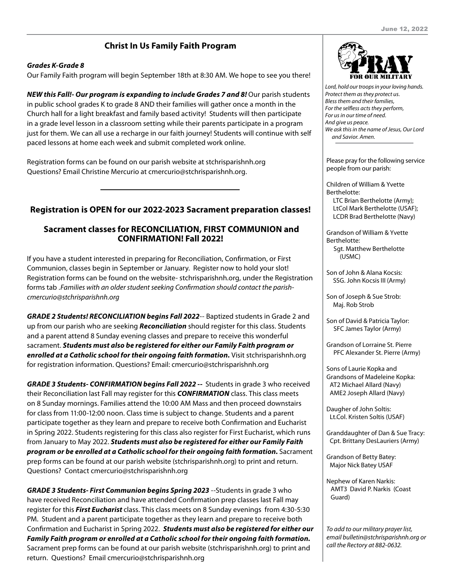# **Christ In Us Family Faith Program**

#### *Grades K-Grade 8*

Our Family Faith program will begin September 18th at 8:30 AM. We hope to see you there!

*NEW this Fall!- Our program is expanding to include Grades 7 and 8! Our parish students* in public school grades K to grade 8 AND their families will gather once a month in the Church hall for a light breakfast and family based activity! Students will then participate in a grade level lesson in a classroom setting while their parents participate in a program just for them. We can all use a recharge in our faith journey! Students will continue with self paced lessons at home each week and submit completed work online.

Registration forms can be found on our parish website at stchrisparishnh.org Questions? Email Christine Mercurio at cmercurio@stchrisparishnh.org.

## **Registration is OPEN for our 2022-2023 Sacrament preparation classes!**

### **Sacrament classes for RECONCILIATION, FIRST COMMUNION and CONFIRMATION! Fall 2022!**

If you have a student interested in preparing for Reconciliation, Confirmation, or First Communion, classes begin in September or January. Register now to hold your slot! Registration forms can be found on the website- stchrisparishnh.org, under the Registration forms tab .*Families with an older student seeking Confirmation should contact the parishcmercurio@stchrisparishnh.org*

*GRADE 2 Students! RECONCILIATION begins Fall 2022*-- Baptized students in Grade 2 and up from our parish who are seeking *Reconciliation* should register for this class. Students and a parent attend 8 Sunday evening classes and prepare to receive this wonderful sacrament. *Students must also be registered for either our Family Faith program or enrolled at a Catholic school for their ongoing faith formation.* Visit stchrisparishnh.org for registration information. Questions? Email: cmercurio@stchrisparishnh.org

*GRADE 3 Students- CONFIRMATION begins Fall 2022 --* Students in grade 3 who received their Reconciliation last Fall may register for this *CONFIRMATION* class. This class meets on 8 Sunday mornings. Families attend the 10:00 AM Mass and then proceed downstairs for class from 11:00-12:00 noon. Class time is subject to change. Students and a parent participate together as they learn and prepare to receive both Confirmation and Eucharist in Spring 2022. Students registering for this class also register for First Eucharist, which runs from January to May 2022. *Students must also be registered for either our Family Faith program or be enrolled at a Catholic school for their ongoing faith formation.* Sacrament prep forms can be found at our parish website (stchrisparishnh.org) to print and return. Questions? Contact cmercurio@stchrisparishnh.org

*GRADE 3 Students- First Communion begins Spring 2023* --Students in grade 3 who have received Reconciliation and have attended Confirmation prep classes last Fall may register for this *First Eucharist* class. This class meets on 8 Sunday evenings from 4:30-5:30 PM. Student and a parent participate together as they learn and prepare to receive both Confirmation and Eucharist in Spring 2022. *Students must also be registered for either our Family Faith program or enrolled at a Catholic school for their ongoing faith formation.* Sacrament prep forms can be found at our parish website (stchrisparishnh.org) to print and return. Questions? Email cmercurio@stchrisparishnh.org



*Lord, hold our troops in your loving hands. Protect them as they protect us. Bless them and their families, For the selfless acts they perform, For us in our time of need. And give us peace. We ask this in the name of Jesus, Our Lord and Savior. Amen.*

Please pray for the following service people from our parish:

Children of William & Yvette Berthelotte: LTC Brian Berthelotte (Army); LtCol Mark Berthelotte (USAF); LCDR Brad Berthelotte (Navy)

Grandson of William & Yvette Berthelotte: Sgt. Matthew Berthelotte (USMC)

Son of John & Alana Kocsis: SSG. John Kocsis III (Army)

Son of Joseph & Sue Strob: Maj. Rob Strob

Son of David & Patricia Taylor: SFC James Taylor (Army)

Grandson of Lorraine St. Pierre PFC Alexander St. Pierre (Army)

Sons of Laurie Kopka and Grandsons of Madeleine Kopka: AT2 Michael Allard (Navy) AME2 Joseph Allard (Navy)

Daugher of John Soltis: Lt.Col. Kristen Soltis (USAF)

Granddaughter of Dan & Sue Tracy: Cpt. Brittany DesLauriers (Army)

Grandson of Betty Batey: Major Nick Batey USAF

Nephew of Karen Narkis: AMT3 David P. Narkis (Coast Guard)

*To add to our military prayer list, email bulletin@stchrisparishnh.org or call the Rectory at 882-0632.*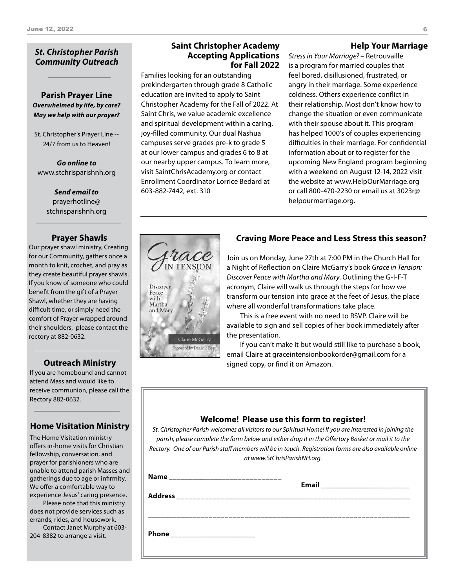#### *St. Christopher Parish Community Outreach*

**Parish Prayer Line** *Overwhelmed by life, by care? May we help with our prayer?*

St. Christopher's Prayer Line -- 24/7 from us to Heaven!

*Go online to* www.stchrisparishnh.org

> *Send email to* prayerhotline@ stchrisparishnh.org

#### **Prayer Shawls**

Our prayer shawl ministry, Creating for our Community, gathers once a month to knit, crochet, and pray as they create beautiful prayer shawls. If you know of someone who could benefit from the gift of a Prayer Shawl, whether they are having difficult time, or simply need the comfort of Prayer wrapped around their shoulders, please contact the rectory at 882-0632.

#### **Outreach Ministry**

If you are homebound and cannot attend Mass and would like to receive communion, please call the Rectory 882-0632.

### **Home Visitation Ministry**

The Home Visitation ministry offers in-home visits for Christian fellowship, conversation, and prayer for parishioners who are unable to attend parish Masses and gatherings due to age or infirmity. We offer a comfortable way to experience Jesus' caring presence.

Please note that this ministry does not provide services such as errands, rides, and housework.

Contact Janet Murphy at 603- 204-8382 to arrange a visit.

#### **Saint Christopher Academy Accepting Applications for Fall 2022**

Families looking for an outstanding prekindergarten through grade 8 Catholic education are invited to apply to Saint Christopher Academy for the Fall of 2022. At Saint Chris, we value academic excellence and spiritual development within a caring, joy-filled community. Our dual Nashua campuses serve grades pre-k to grade 5 at our lower campus and grades 6 to 8 at our nearby upper campus. To learn more, visit SaintChrisAcademy.org or contact Enrollment Coordinator Lorrice Bedard at 603-882-7442, ext. 310

#### **Help Your Marriage**

*Stress in Your Marriage?* – Retrouvaille is a program for married couples that feel bored, disillusioned, frustrated, or angry in their marriage. Some experience coldness. Others experience conflict in their relationship. Most don't know how to change the situation or even communicate with their spouse about it. This program has helped 1000's of couples experiencing difficulties in their marriage. For confidential information about or to register for the upcoming New England program beginning with a weekend on August 12-14, 2022 visit the website at www.HelpOurMarriage.org or call 800-470-2230 or email us at 3023r@ helpourmarriage.org.

### **Craving More Peace and Less Stress this season?**



Join us on Monday, June 27th at 7:00 PM in the Church Hall for a Night of Reflection on Claire McGarry's book *Grace in Tension: Discover Peace with Martha and Mary*. Outlining the G-I-F-T acronym, Claire will walk us through the steps for how we transform our tension into grace at the feet of Jesus, the place where all wonderful transformations take place.

This is a free event with no need to RSVP. Claire will be available to sign and sell copies of her book immediately after the presentation.

If you can't make it but would still like to purchase a book, email Claire at graceintensionbookorder@gmail.com for a signed copy, or find it on Amazon.

#### **Welcome! Please use this form to register!**

*St. Christopher Parish welcomes all visitors to our Spiritual Home! If you are interested in joining the parish, please complete the form below and either drop it in the Offertory Basket or mail it to the Rectory. One of our Parish staff members will be in touch. Registration forms are also available online at www.StChrisParishNH.org.*

| <b>Name</b>                  | Email __________________________ |
|------------------------------|----------------------------------|
| <b>Address</b>               |                                  |
|                              |                                  |
| Phone ______________________ |                                  |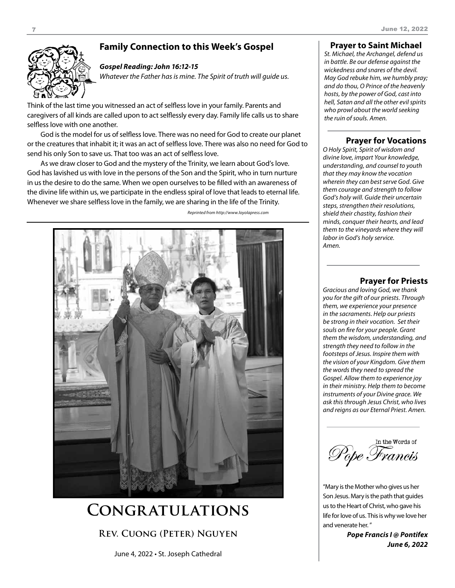# **Family Connection to this Week's Gospel**



#### *Gospel Reading: John 16:12-15*

*Whatever the Father has is mine. The Spirit of truth will guide us.*

Think of the last time you witnessed an act of selfless love in your family. Parents and caregivers of all kinds are called upon to act selflessly every day. Family life calls us to share selfless love with one another.

God is the model for us of selfless love. There was no need for God to create our planet or the creatures that inhabit it; it was an act of selfless love. There was also no need for God to send his only Son to save us. That too was an act of selfless love.

As we draw closer to God and the mystery of the Trinity, we learn about God's love. God has lavished us with love in the persons of the Son and the Spirit, who in turn nurture in us the desire to do the same. When we open ourselves to be filled with an awareness of the divine life within us, we participate in the endless spiral of love that leads to eternal life. Whenever we share selfless love in the family, we are sharing in the life of the Trinity.

*Reprinted from http://www.loyolapress.com*



# **Congratulations**

**Rev. Cuong (Peter) Nguyen**

June 4, 2022 • St. Joseph Cathedral

#### **Prayer to Saint Michael**

*St. Michael, the Archangel, defend us in battle. Be our defense against the wickedness and snares of the devil. May God rebuke him, we humbly pray; and do thou, O Prince of the heavenly hosts, by the power of God, cast into hell, Satan and all the other evil spirits who prowl about the world seeking the ruin of souls. Amen.*

#### **Prayer for Vocations**

*O Holy Spirit, Spirit of wisdom and divine love, impart Your knowledge, understanding, and counsel to youth that they may know the vocation wherein they can best serve God. Give them courage and strength to follow God's holy will. Guide their uncertain steps, strengthen their resolutions, shield their chastity, fashion their minds, conquer their hearts, and lead them to the vineyards where they will labor in God's holy service. Amen.*

#### **Prayer for Priests**

*Gracious and loving God, we thank you for the gift of our priests. Through them, we experience your presence in the sacraments. Help our priests be strong in their vocation. Set their souls on fire for your people. Grant them the wisdom, understanding, and strength they need to follow in the footsteps of Jesus. Inspire them with the vision of your Kingdom. Give them the words they need to spread the Gospel. Allow them to experience joy in their ministry. Help them to become instruments of your Divine grace. We ask this through Jesus Christ, who lives and reigns as our Eternal Priest. Amen.*

In the Words of Pope Francis

"Mary is the Mother who gives us her Son Jesus. Mary is the path that guides us to the Heart of Christ, who gave his life for love of us. This is why we love her and venerate her. "

> *Pope Francis I @ Pontifex June 6, 2022*